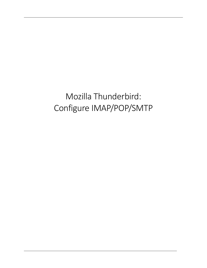Mozilla Thunderbird: Configure IMAP/POP/SMTP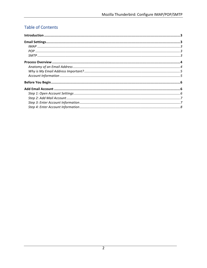# Table of Contents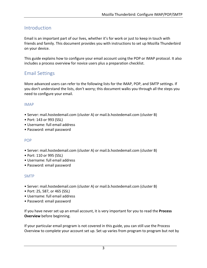# Introduction

Email is an important part of our lives, whether it's for work or just to keep in touch with friends and family. This document provides you with instructions to set up Mozilla Thunderbird on your device.

This guide explains how to configure your email account using the POP or IMAP protocol. It also includes a process overview for novice users plus a preparation checklist.

## Email Settings

More advanced users can refer to the following lists for the IMAP, POP, and SMTP settings. If you don't understand the lists, don't worry; this document walks you through all the steps you need to configure your email.

## IMAP

- Server: mail.hostedemail.com (cluster A) or mail.b.hostedemail.com (cluster B)
- Port: 143 or 993 (SSL)
- Username: full email address
- Password: email password

## POP

- Server: mail.hostedemail.com (cluster A) or mail.b.hostedemail.com (cluster B)
- Port: 110 or 995 (SSL)
- Username: full email address
- Password: email password

## SMTP

- Server: mail.hostedemail.com (cluster A) or mail.b.hostedemail.com (cluster B)
- Port: 25, 587, or 465 (SSL)
- Username: full email address
- Password: email password

If you have never set up an email account, it is very important for you to read the **Process Overview** before beginning.

If your particular email program is not covered in this guide, you can still use the Process Overview to complete your account set up. Set up varies from program to program but not by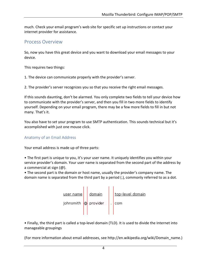much. Check your email program's web site for specific set up instructions or contact your internet provider for assistance.

## Process Overview

So, now you have this great device and you want to download your email messages to your device.

This requires two things:

1. The device can communicate properly with the provider's server.

2. The provider's server recognizes you so that you receive the right email messages.

If this sounds daunting, don't be alarmed. You only complete two fields to tell your device how to communicate with the provider's server, and then you fill in two more fields to identify yourself. Depending on your email program, there may be a few more fields to fill in but not many. That's it.

You also have to set your program to use SMTP authentication. This sounds technical but it's accomplished with just one mouse click.

## Anatomy of an Email Address

Your email address is made up of three parts:

• The first part is unique to you, it's your user name. It uniquely identifies you within your service provider's domain. Your user name is separated from the second part of the address by a commercial at sign  $(\omega)$ .

• The second part is the domain or host name, usually the provider's company name. The domain name is separated from the third part by a period (.), commonly referred to as a dot.



• Finally, the third part is called a top-level domain (TLD). It is used to divide the Internet into manageable groupings

(For more information about email addresses, see http://en.wikipedia.org/wiki/Domain\_name.)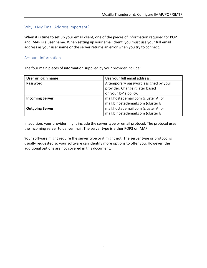## Why is My Email Address Important?

When it is time to set up your email client, one of the pieces of information required for POP and IMAP is a user name. When setting up your email client, you must use your full email address as your user name or the server returns an error when you try to connect.

### **Account Information**

The four main pieces of information supplied by your provider include:

| User or login name     | Use your full email address.          |
|------------------------|---------------------------------------|
| <b>Password</b>        | A temporary password assigned by your |
|                        | provider. Change it later based       |
|                        | on your ISP's policy.                 |
| <b>Incoming Server</b> | mail.hostedemail.com (cluster A) or   |
|                        | mail.b.hostedemail.com (cluster B)    |
| <b>Outgoing Server</b> | mail.hostedemail.com (cluster A) or   |
|                        | mail.b.hostedemail.com (cluster B)    |

In addition, your provider might include the server type or email protocol. The protocol uses the incoming server to deliver mail. The server type is either POP3 or IMAP.

Your software might require the server type or it might not. The server type or protocol is usually requested so your software can identify more options to offer you. However, the additional options are not covered in this document.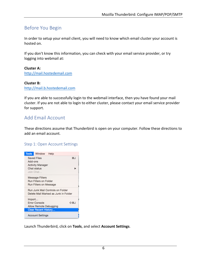# Before You Begin

In order to setup your email client, you will need to know which email cluster your account is hosted on.

If you don't know this information, you can check with your email service provider, or try logging into webmail at:

**Cluster A:** http://mail.hostedemail.com

### **Cluster B:**

http://mail.b.hostedemail.com

If you are able to successfully login to the webmail interface, then you have found your mail cluster. If you are not able to login to either cluster, please contact your email service provider for support.

## Add Email Account

These directions assume that Thunderbird is open on your computer. Follow these directions to add an email account.

## Step 1: Open Account Settings



Launch Thunderbird, click on Tools, and select Account Settings.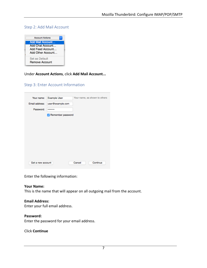## Step 2: Add Mail Account

| <b>Account Actions</b>                                                        |  |
|-------------------------------------------------------------------------------|--|
| Add Mail Account<br>Add Chat Account<br>Add Feed Account<br>Add Other Account |  |
| Set as Default<br><b>Remove Account</b>                                       |  |

**Under Account Actions, click Add Mail Account...** 

## Step 3: Enter Account Information

| Your name:        | <b>Example User</b> |        | Your name, as shown to others |
|-------------------|---------------------|--------|-------------------------------|
| Email address:    | user@example.com    |        |                               |
| Password:         |                     |        |                               |
|                   | Remember password   |        |                               |
|                   |                     |        |                               |
|                   |                     |        |                               |
|                   |                     |        |                               |
|                   |                     |        |                               |
|                   |                     |        |                               |
|                   |                     |        |                               |
|                   |                     |        |                               |
|                   |                     |        |                               |
| Get a new account |                     | Cancel | Continue                      |

Enter the following information:

### **Your Name:**

This is the name that will appear on all outgoing mail from the account.

### **Email Address:**

Enter your full email address.

#### **Password:**

Enter the password for your email address.

Click **Continue**